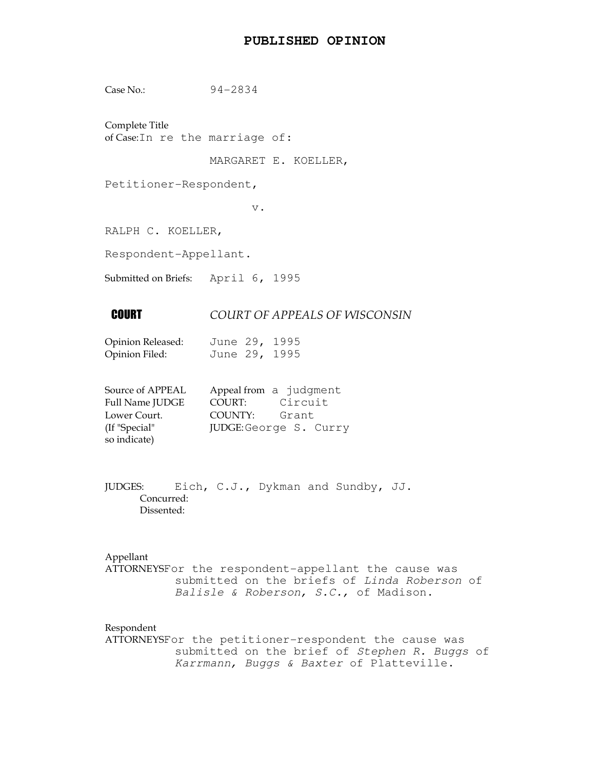## **PUBLISHED OPINION**

Case No.: 94-2834

Complete Title of Case:In re the marriage of:

MARGARET E. KOELLER,

Petitioner-Respondent,

v.

RALPH C. KOELLER,

Respondent-Appellant.

Submitted on Briefs: April 6, 1995

# **COURT OF APPEALS OF WISCONSIN**

| Opinion Released: | June 29, 1995 |  |
|-------------------|---------------|--|
| Opinion Filed:    | June 29, 1995 |  |

| Source of APPEAL       | Appeal from a judgment |                        |
|------------------------|------------------------|------------------------|
| <b>Full Name JUDGE</b> | COURT:                 | Circuit                |
| Lower Court.           | COUNTY:                | Grant                  |
| (If "Special"          |                        | JUDGE: George S. Curry |
| so indicate)           |                        |                        |

JUDGES: Eich, C.J., Dykman and Sundby, JJ. Concurred: Dissented:

Appellant

ATTORNEYSFor the respondent-appellant the cause was submitted on the briefs of Linda Roberson of Balisle & Roberson, S.C., of Madison.

#### Respondent

ATTORNEYSFor the petitioner-respondent the cause was submitted on the brief of Stephen R. Buggs of Karrmann, Buggs & Baxter of Platteville.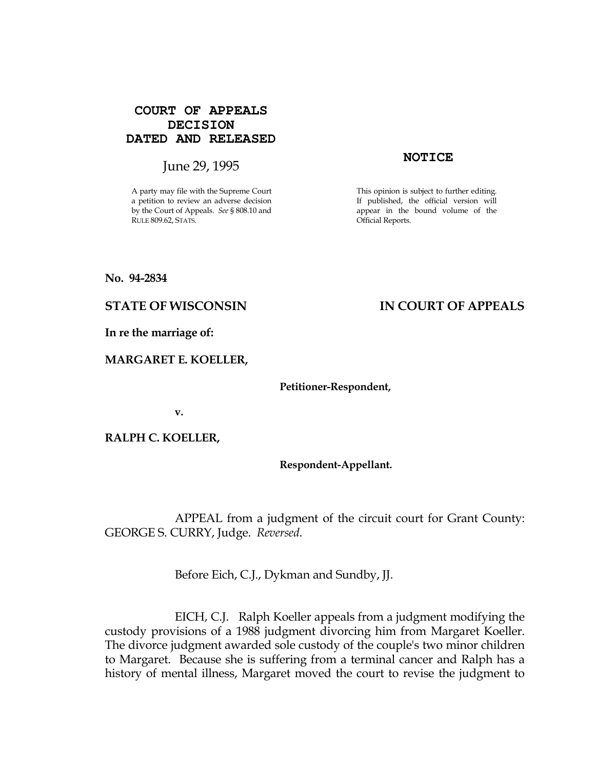# **COURT OF APPEALS DECISION DATED AND RELEASED**

# June 29, 1995

A party may file with the Supreme Court a petition to review an adverse decision by the Court of Appeals. See § 808.10 and RULE 809.62, STATS.

#### **NOTICE**

This opinion is subject to further editing. If published, the official version will appear in the bound volume of the Official Reports.

No. 94-2834

# STATE OF WISCONSIN THE RESERVE TO THE STATE OF APPEALS

In re the marriage of:

### MARGARET E. KOELLER,

Petitioner-Respondent,

v.

RALPH C. KOELLER,

Respondent-Appellant.

 APPEAL from a judgment of the circuit court for Grant County: GEORGE S. CURRY, Judge. Reversed.

Before Eich, C.J., Dykman and Sundby, JJ.

 EICH, C.J. Ralph Koeller appeals from a judgment modifying the custody provisions of a 1988 judgment divorcing him from Margaret Koeller. The divorce judgment awarded sole custody of the couple's two minor children to Margaret. Because she is suffering from a terminal cancer and Ralph has a history of mental illness, Margaret moved the court to revise the judgment to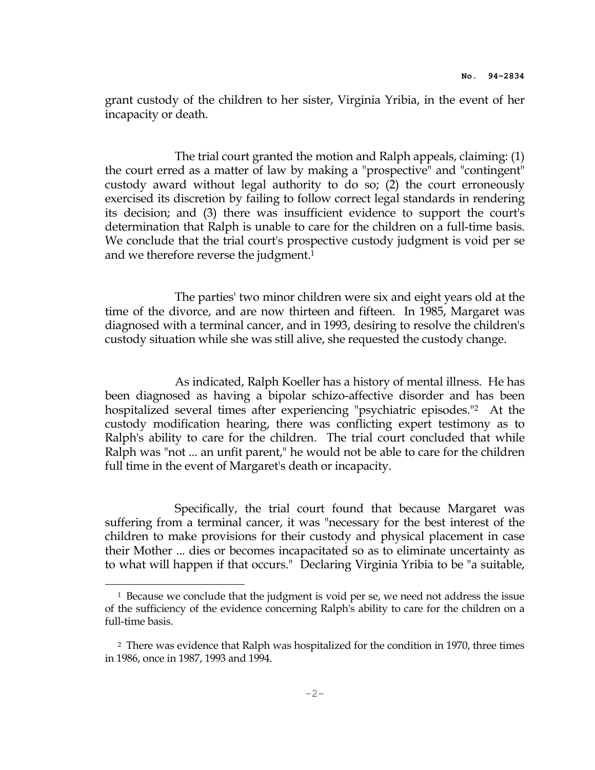grant custody of the children to her sister, Virginia Yribia, in the event of her incapacity or death.

 The trial court granted the motion and Ralph appeals, claiming: (1) the court erred as a matter of law by making a "prospective" and "contingent" custody award without legal authority to do so; (2) the court erroneously exercised its discretion by failing to follow correct legal standards in rendering its decision; and (3) there was insufficient evidence to support the court's determination that Ralph is unable to care for the children on a full-time basis. We conclude that the trial court's prospective custody judgment is void per se and we therefore reverse the judgment.<sup>1</sup>

 The parties' two minor children were six and eight years old at the time of the divorce, and are now thirteen and fifteen. In 1985, Margaret was diagnosed with a terminal cancer, and in 1993, desiring to resolve the children's custody situation while she was still alive, she requested the custody change.

 As indicated, Ralph Koeller has a history of mental illness. He has been diagnosed as having a bipolar schizo-affective disorder and has been hospitalized several times after experiencing "psychiatric episodes."2 At the custody modification hearing, there was conflicting expert testimony as to Ralph's ability to care for the children. The trial court concluded that while Ralph was "not ... an unfit parent," he would not be able to care for the children full time in the event of Margaret's death or incapacity.

 Specifically, the trial court found that because Margaret was suffering from a terminal cancer, it was "necessary for the best interest of the children to make provisions for their custody and physical placement in case their Mother ... dies or becomes incapacitated so as to eliminate uncertainty as to what will happen if that occurs." Declaring Virginia Yribia to be "a suitable,

i

<sup>1</sup> Because we conclude that the judgment is void per se, we need not address the issue of the sufficiency of the evidence concerning Ralph's ability to care for the children on a full-time basis.

<sup>&</sup>lt;sup>2</sup> There was evidence that Ralph was hospitalized for the condition in 1970, three times in 1986, once in 1987, 1993 and 1994.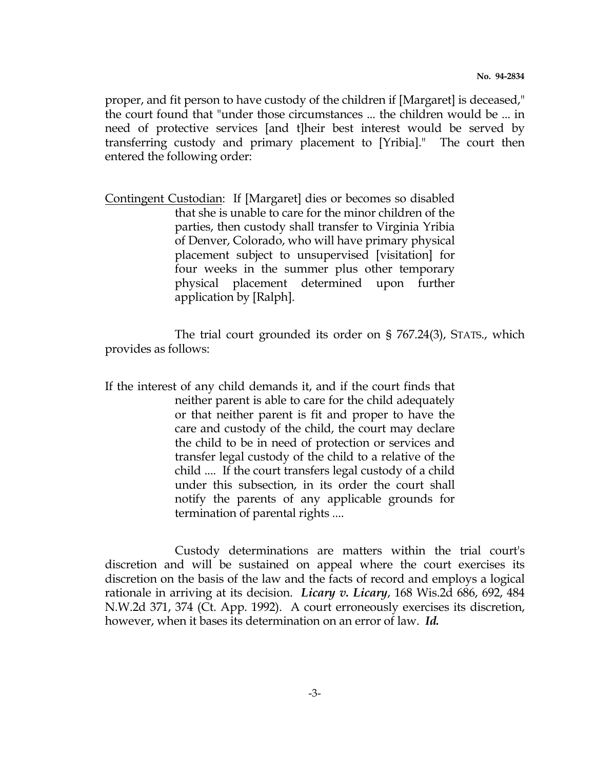proper, and fit person to have custody of the children if [Margaret] is deceased," the court found that "under those circumstances ... the children would be ... in need of protective services [and t]heir best interest would be served by transferring custody and primary placement to [Yribia]." The court then entered the following order:

Contingent Custodian: If [Margaret] dies or becomes so disabled that she is unable to care for the minor children of the parties, then custody shall transfer to Virginia Yribia of Denver, Colorado, who will have primary physical placement subject to unsupervised [visitation] for four weeks in the summer plus other temporary physical placement determined upon further application by [Ralph].

 The trial court grounded its order on § 767.24(3), STATS., which provides as follows:

If the interest of any child demands it, and if the court finds that neither parent is able to care for the child adequately or that neither parent is fit and proper to have the care and custody of the child, the court may declare the child to be in need of protection or services and transfer legal custody of the child to a relative of the child .... If the court transfers legal custody of a child under this subsection, in its order the court shall notify the parents of any applicable grounds for termination of parental rights ....

 Custody determinations are matters within the trial court's discretion and will be sustained on appeal where the court exercises its discretion on the basis of the law and the facts of record and employs a logical rationale in arriving at its decision. Licary v. Licary, 168 Wis.2d 686, 692, 484 N.W.2d 371, 374 (Ct. App. 1992). A court erroneously exercises its discretion, however, when it bases its determination on an error of law. Id.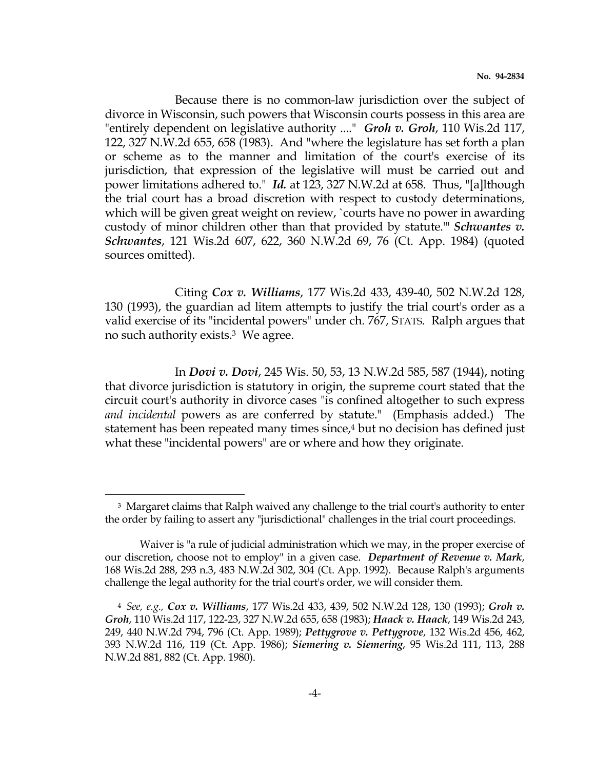Because there is no common-law jurisdiction over the subject of divorce in Wisconsin, such powers that Wisconsin courts possess in this area are "entirely dependent on legislative authority ...." Groh v. Groh, 110 Wis.2d 117, 122, 327 N.W.2d 655, 658 (1983). And "where the legislature has set forth a plan or scheme as to the manner and limitation of the court's exercise of its jurisdiction, that expression of the legislative will must be carried out and power limitations adhered to." Id. at 123, 327 N.W.2d at 658. Thus, "[a]lthough the trial court has a broad discretion with respect to custody determinations, which will be given great weight on review, `courts have no power in awarding custody of minor children other than that provided by statute." *Schwantes v.* Schwantes, 121 Wis.2d 607, 622, 360 N.W.2d 69, 76 (Ct. App. 1984) (quoted sources omitted).

 Citing Cox v. Williams, 177 Wis.2d 433, 439-40, 502 N.W.2d 128, 130 (1993), the guardian ad litem attempts to justify the trial court's order as a valid exercise of its "incidental powers" under ch. 767, STATS. Ralph argues that no such authority exists.3 We agree.

 In Dovi v. Dovi, 245 Wis. 50, 53, 13 N.W.2d 585, 587 (1944), noting that divorce jurisdiction is statutory in origin, the supreme court stated that the circuit court's authority in divorce cases "is confined altogether to such express and incidental powers as are conferred by statute." (Emphasis added.) The statement has been repeated many times since,<sup>4</sup> but no decision has defined just what these "incidental powers" are or where and how they originate.

e<br>S

<sup>&</sup>lt;sup>3</sup> Margaret claims that Ralph waived any challenge to the trial court's authority to enter the order by failing to assert any "jurisdictional" challenges in the trial court proceedings.

Waiver is "a rule of judicial administration which we may, in the proper exercise of our discretion, choose not to employ" in a given case. Department of Revenue v. Mark, 168 Wis.2d 288, 293 n.3, 483 N.W.2d 302, 304 (Ct. App. 1992). Because Ralph's arguments challenge the legal authority for the trial court's order, we will consider them.

<sup>4</sup> See, e.g., Cox v. Williams, 177 Wis.2d 433, 439, 502 N.W.2d 128, 130 (1993); Groh v. Groh, 110 Wis.2d 117, 122-23, 327 N.W.2d 655, 658 (1983); Haack v. Haack, 149 Wis.2d 243, 249, 440 N.W.2d 794, 796 (Ct. App. 1989); Pettygrove v. Pettygrove, 132 Wis.2d 456, 462, 393 N.W.2d 116, 119 (Ct. App. 1986); Siemering v. Siemering, 95 Wis.2d 111, 113, 288 N.W.2d 881, 882 (Ct. App. 1980).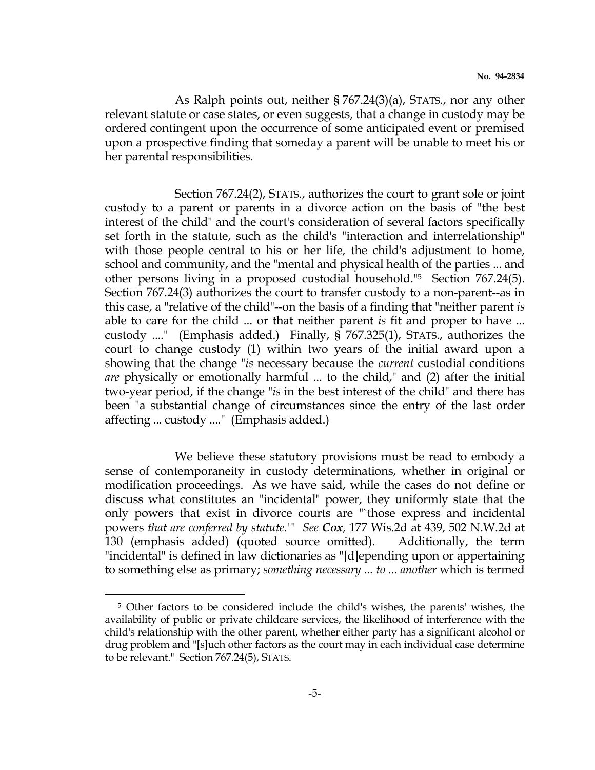As Ralph points out, neither § 767.24(3)(a), STATS., nor any other relevant statute or case states, or even suggests, that a change in custody may be ordered contingent upon the occurrence of some anticipated event or premised upon a prospective finding that someday a parent will be unable to meet his or her parental responsibilities.

 Section 767.24(2), STATS., authorizes the court to grant sole or joint custody to a parent or parents in a divorce action on the basis of "the best interest of the child" and the court's consideration of several factors specifically set forth in the statute, such as the child's "interaction and interrelationship" with those people central to his or her life, the child's adjustment to home, school and community, and the "mental and physical health of the parties ... and other persons living in a proposed custodial household."5 Section 767.24(5). Section 767.24(3) authorizes the court to transfer custody to a non-parent--as in this case, a "relative of the child"--on the basis of a finding that "neither parent is able to care for the child ... or that neither parent is fit and proper to have ... custody ...." (Emphasis added.) Finally, § 767.325(1), STATS., authorizes the court to change custody (1) within two years of the initial award upon a showing that the change "is necessary because the *current* custodial conditions are physically or emotionally harmful ... to the child," and (2) after the initial two-year period, if the change "is in the best interest of the child" and there has been "a substantial change of circumstances since the entry of the last order affecting ... custody ...." (Emphasis added.)

 We believe these statutory provisions must be read to embody a sense of contemporaneity in custody determinations, whether in original or modification proceedings. As we have said, while the cases do not define or discuss what constitutes an "incidental" power, they uniformly state that the only powers that exist in divorce courts are "`those express and incidental powers that are conferred by statute.'" See Cox, 177 Wis.2d at 439, 502 N.W.2d at 130 (emphasis added) (quoted source omitted). Additionally, the term "incidental" is defined in law dictionaries as "[d]epending upon or appertaining to something else as primary; something necessary ... to ... another which is termed

e<br>S

<sup>5</sup> Other factors to be considered include the child's wishes, the parents' wishes, the availability of public or private childcare services, the likelihood of interference with the child's relationship with the other parent, whether either party has a significant alcohol or drug problem and "[s]uch other factors as the court may in each individual case determine to be relevant." Section 767.24(5), STATS.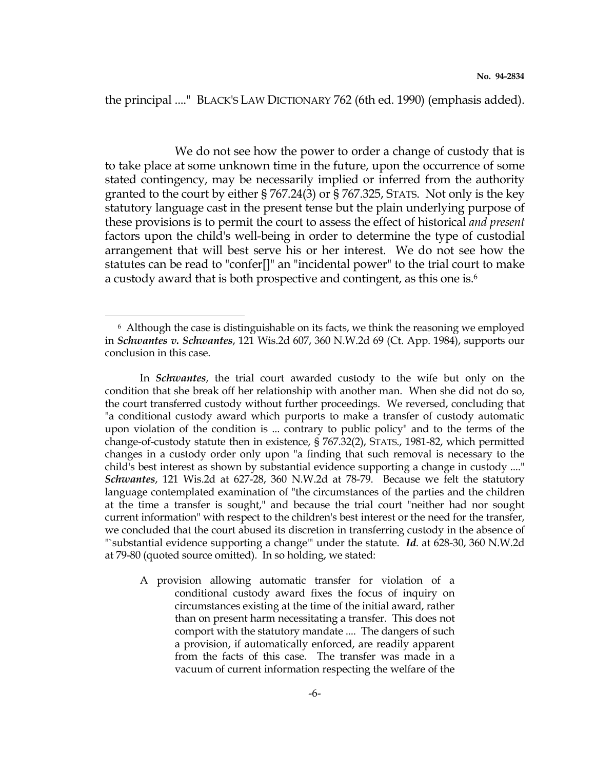the principal ...." BLACK'S LAW DICTIONARY 762 (6th ed. 1990) (emphasis added).

 We do not see how the power to order a change of custody that is to take place at some unknown time in the future, upon the occurrence of some stated contingency, may be necessarily implied or inferred from the authority granted to the court by either § 767.24(3) or § 767.325, STATS. Not only is the key statutory language cast in the present tense but the plain underlying purpose of these provisions is to permit the court to assess the effect of historical *and present* factors upon the child's well-being in order to determine the type of custodial arrangement that will best serve his or her interest. We do not see how the statutes can be read to "confer[]" an "incidental power" to the trial court to make a custody award that is both prospective and contingent, as this one is.<sup>6</sup>

i

 A provision allowing automatic transfer for violation of a conditional custody award fixes the focus of inquiry on circumstances existing at the time of the initial award, rather than on present harm necessitating a transfer. This does not comport with the statutory mandate .... The dangers of such a provision, if automatically enforced, are readily apparent from the facts of this case. The transfer was made in a vacuum of current information respecting the welfare of the

<sup>6</sup> Although the case is distinguishable on its facts, we think the reasoning we employed in Schwantes v. Schwantes, 121 Wis.2d 607, 360 N.W.2d 69 (Ct. App. 1984), supports our conclusion in this case.

In *Schwantes*, the trial court awarded custody to the wife but only on the condition that she break off her relationship with another man. When she did not do so, the court transferred custody without further proceedings. We reversed, concluding that "a conditional custody award which purports to make a transfer of custody automatic upon violation of the condition is ... contrary to public policy" and to the terms of the change-of-custody statute then in existence, § 767.32(2), STATS., 1981-82, which permitted changes in a custody order only upon "a finding that such removal is necessary to the child's best interest as shown by substantial evidence supporting a change in custody ...." Schwantes, 121 Wis.2d at 627-28, 360 N.W.2d at 78-79. Because we felt the statutory language contemplated examination of "the circumstances of the parties and the children at the time a transfer is sought," and because the trial court "neither had nor sought current information" with respect to the children's best interest or the need for the transfer, we concluded that the court abused its discretion in transferring custody in the absence of "`substantial evidence supporting a change'" under the statute. Id. at 628-30, 360 N.W.2d at 79-80 (quoted source omitted). In so holding, we stated: